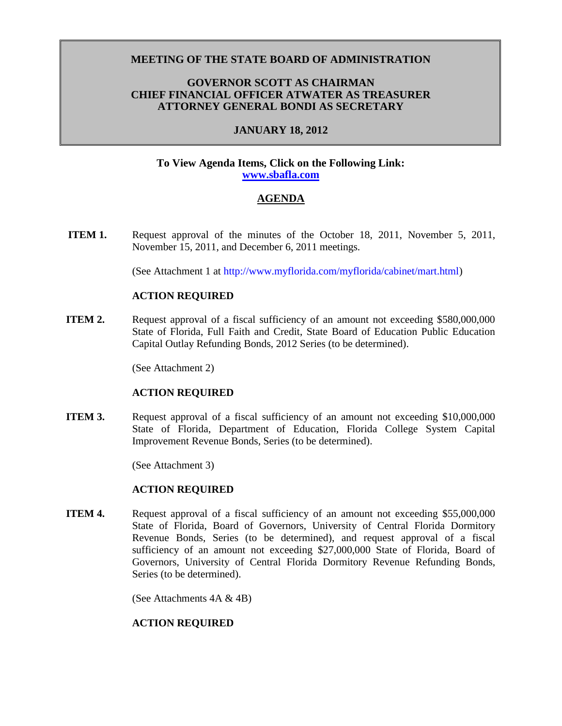## **MEETING OF THE STATE BOARD OF ADMINISTRATION**

## **GOVERNOR SCOTT AS CHAIRMAN CHIEF FINANCIAL OFFICER ATWATER AS TREASURER ATTORNEY GENERAL BONDI AS SECRETARY**

## **JANUARY 18, 2012**

#### **To View Agenda Items, Click on the Following Link: [www.sbafla.com](https://www.sbafla.com/fsb/Trustees/2012Meetings/tabid/1315/Default.aspx)**

## **AGENDA**

**ITEM 1.** Request approval of the minutes of the October 18, 2011, November 5, 2011, November 15, 2011, and December 6, 2011 meetings.

(See Attachment 1 at http://www.myflorida.com/myflorida/cabinet/mart.html)

#### **ACTION REQUIRED**

**ITEM 2.** Request approval of a fiscal sufficiency of an amount not exceeding \$580,000,000 State of Florida, Full Faith and Credit, State Board of Education Public Education Capital Outlay Refunding Bonds, 2012 Series (to be determined).

(See Attachment 2)

#### **ACTION REQUIRED**

**ITEM 3.** Request approval of a fiscal sufficiency of an amount not exceeding \$10,000,000 State of Florida, Department of Education, Florida College System Capital Improvement Revenue Bonds, Series (to be determined).

(See Attachment 3)

### **ACTION REQUIRED**

**ITEM 4.** Request approval of a fiscal sufficiency of an amount not exceeding \$55,000,000 State of Florida, Board of Governors, University of Central Florida Dormitory Revenue Bonds, Series (to be determined), and request approval of a fiscal sufficiency of an amount not exceeding \$27,000,000 State of Florida, Board of Governors, University of Central Florida Dormitory Revenue Refunding Bonds, Series (to be determined).

(See Attachments 4A & 4B)

#### **ACTION REQUIRED**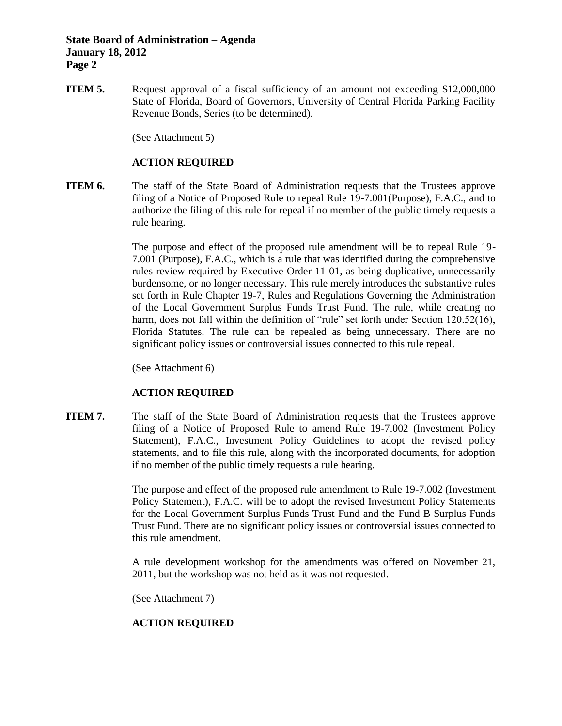## **State Board of Administration – Agenda January 18, 2012 Page 2**

**ITEM 5.** Request approval of a fiscal sufficiency of an amount not exceeding \$12,000,000 State of Florida, Board of Governors, University of Central Florida Parking Facility Revenue Bonds, Series (to be determined).

(See Attachment 5)

## **ACTION REQUIRED**

**ITEM 6.** The staff of the State Board of Administration requests that the Trustees approve filing of a Notice of Proposed Rule to repeal Rule 19-7.001(Purpose), F.A.C., and to authorize the filing of this rule for repeal if no member of the public timely requests a rule hearing.

> The purpose and effect of the proposed rule amendment will be to repeal Rule 19- 7.001 (Purpose), F.A.C., which is a rule that was identified during the comprehensive rules review required by Executive Order 11-01, as being duplicative, unnecessarily burdensome, or no longer necessary. This rule merely introduces the substantive rules set forth in Rule Chapter 19-7, Rules and Regulations Governing the Administration of the Local Government Surplus Funds Trust Fund. The rule, while creating no harm, does not fall within the definition of "rule" set forth under Section 120.52(16), Florida Statutes. The rule can be repealed as being unnecessary. There are no significant policy issues or controversial issues connected to this rule repeal.

(See Attachment 6)

# **ACTION REQUIRED**

**ITEM 7.** The staff of the State Board of Administration requests that the Trustees approve filing of a Notice of Proposed Rule to amend Rule 19-7.002 (Investment Policy Statement), F.A.C., Investment Policy Guidelines to adopt the revised policy statements, and to file this rule, along with the incorporated documents, for adoption if no member of the public timely requests a rule hearing.

> The purpose and effect of the proposed rule amendment to Rule 19-7.002 (Investment Policy Statement), F.A.C. will be to adopt the revised Investment Policy Statements for the Local Government Surplus Funds Trust Fund and the Fund B Surplus Funds Trust Fund. There are no significant policy issues or controversial issues connected to this rule amendment.

> A rule development workshop for the amendments was offered on November 21, 2011, but the workshop was not held as it was not requested.

(See Attachment 7)

# **ACTION REQUIRED**